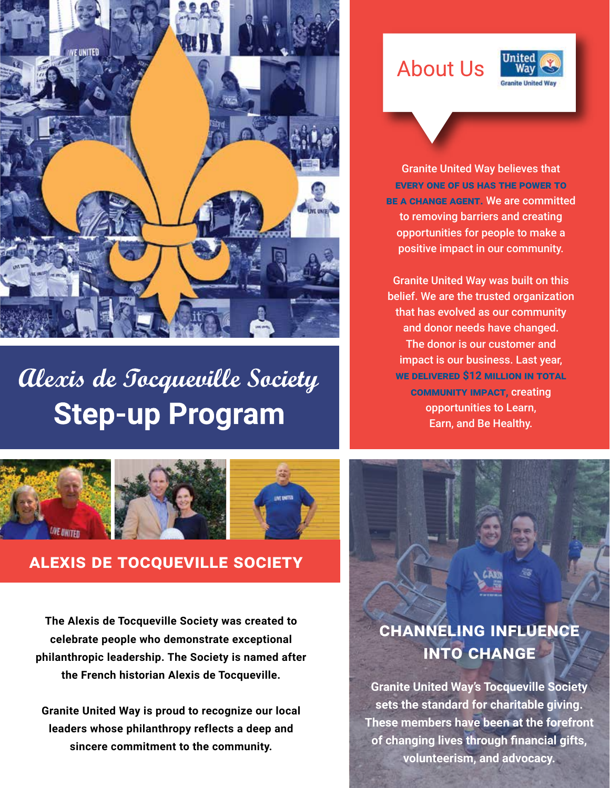

# Alexis de Tocqueville Society **Step-up Program**

# **About Us**



Granite United Way believes that **every one of us has the power to be a change agent.** We are committed to removing barriers and creating opportunities for people to make a positive impact in our community.

Granite United Way was built on this belief. We are the trusted organization that has evolved as our community and donor needs have changed. The donor is our customer and impact is our business. Last year, **we delivered \$12 million in total community impact,** creating opportunities to Learn, Earn, and Be Healthy.



### **alexis de tocqueville society**

**The Alexis de Tocqueville Society was created to celebrate people who demonstrate exceptional philanthropic leadership. The Society is named after the French historian Alexis de Tocqueville.**

**Granite United Way is proud to recognize our local leaders whose philanthropy reflects a deep and sincere commitment to the community.** 

## **channeling influence into change**

**Granite United Way's Tocqueville Society sets the standard for charitable giving. These members have been at the forefront of changing lives through financial gifts, volunteerism, and advocacy.**